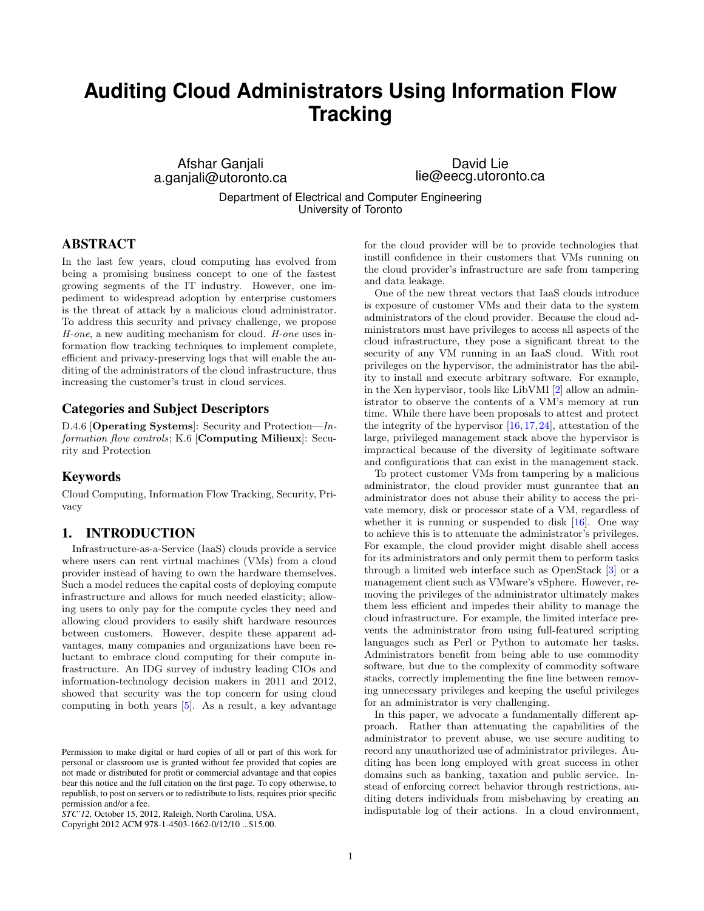# **Auditing Cloud Administrators Using Information Flow Tracking**

Afshar Ganjali a.ganjali@utoronto.ca

David Lie lie@eecg.utoronto.ca

Department of Electrical and Computer Engineering University of Toronto

# **ABSTRACT**

In the last few years, cloud computing has evolved from being a promising business concept to one of the fastest growing segments of the IT industry. However, one impediment to widespread adoption by enterprise customers is the threat of attack by a malicious cloud administrator. To address this security and privacy challenge, we propose H-one, a new auditing mechanism for cloud. H-one uses information flow tracking techniques to implement complete, efficient and privacy-preserving logs that will enable the auditing of the administrators of the cloud infrastructure, thus increasing the customer's trust in cloud services.

## Categories and Subject Descriptors

D.4.6 [Operating Systems]: Security and Protection—Information flow controls; K.6 [Computing Milieux]: Security and Protection

## Keywords

Cloud Computing, Information Flow Tracking, Security, Privacy

## 1. INTRODUCTION

Infrastructure-as-a-Service (IaaS) clouds provide a service where users can rent virtual machines (VMs) from a cloud provider instead of having to own the hardware themselves. Such a model reduces the capital costs of deploying compute infrastructure and allows for much needed elasticity; allowing users to only pay for the compute cycles they need and allowing cloud providers to easily shift hardware resources between customers. However, despite these apparent advantages, many companies and organizations have been reluctant to embrace cloud computing for their compute infrastructure. An IDG survey of industry leading CIOs and information-technology decision makers in 2011 and 2012, showed that security was the top concern for using cloud computing in both years [\[5\]](#page-5-0). As a result, a key advantage

Copyright 2012 ACM 978-1-4503-1662-0/12/10 ...\$15.00.

for the cloud provider will be to provide technologies that instill confidence in their customers that VMs running on the cloud provider's infrastructure are safe from tampering and data leakage.

One of the new threat vectors that IaaS clouds introduce is exposure of customer VMs and their data to the system administrators of the cloud provider. Because the cloud administrators must have privileges to access all aspects of the cloud infrastructure, they pose a significant threat to the security of any VM running in an IaaS cloud. With root privileges on the hypervisor, the administrator has the ability to install and execute arbitrary software. For example, in the Xen hypervisor, tools like LibVMI [\[2\]](#page-5-1) allow an administrator to observe the contents of a VM's memory at run time. While there have been proposals to attest and protect the integrity of the hypervisor  $[16,17,24]$  $[16,17,24]$  $[16,17,24]$ , attestation of the large, privileged management stack above the hypervisor is impractical because of the diversity of legitimate software and configurations that can exist in the management stack.

To protect customer VMs from tampering by a malicious administrator, the cloud provider must guarantee that an administrator does not abuse their ability to access the private memory, disk or processor state of a VM, regardless of whether it is running or suspended to disk [\[16\]](#page-5-2). One way to achieve this is to attenuate the administrator's privileges. For example, the cloud provider might disable shell access for its administrators and only permit them to perform tasks through a limited web interface such as OpenStack [\[3\]](#page-5-5) or a management client such as VMware's vSphere. However, removing the privileges of the administrator ultimately makes them less efficient and impedes their ability to manage the cloud infrastructure. For example, the limited interface prevents the administrator from using full-featured scripting languages such as Perl or Python to automate her tasks. Administrators benefit from being able to use commodity software, but due to the complexity of commodity software stacks, correctly implementing the fine line between removing unnecessary privileges and keeping the useful privileges for an administrator is very challenging.

In this paper, we advocate a fundamentally different approach. Rather than attenuating the capabilities of the administrator to prevent abuse, we use secure auditing to record any unauthorized use of administrator privileges. Auditing has been long employed with great success in other domains such as banking, taxation and public service. Instead of enforcing correct behavior through restrictions, auditing deters individuals from misbehaving by creating an indisputable log of their actions. In a cloud environment,

Permission to make digital or hard copies of all or part of this work for personal or classroom use is granted without fee provided that copies are not made or distributed for profit or commercial advantage and that copies bear this notice and the full citation on the first page. To copy otherwise, to republish, to post on servers or to redistribute to lists, requires prior specific permission and/or a fee.

*STC'12,* October 15, 2012, Raleigh, North Carolina, USA.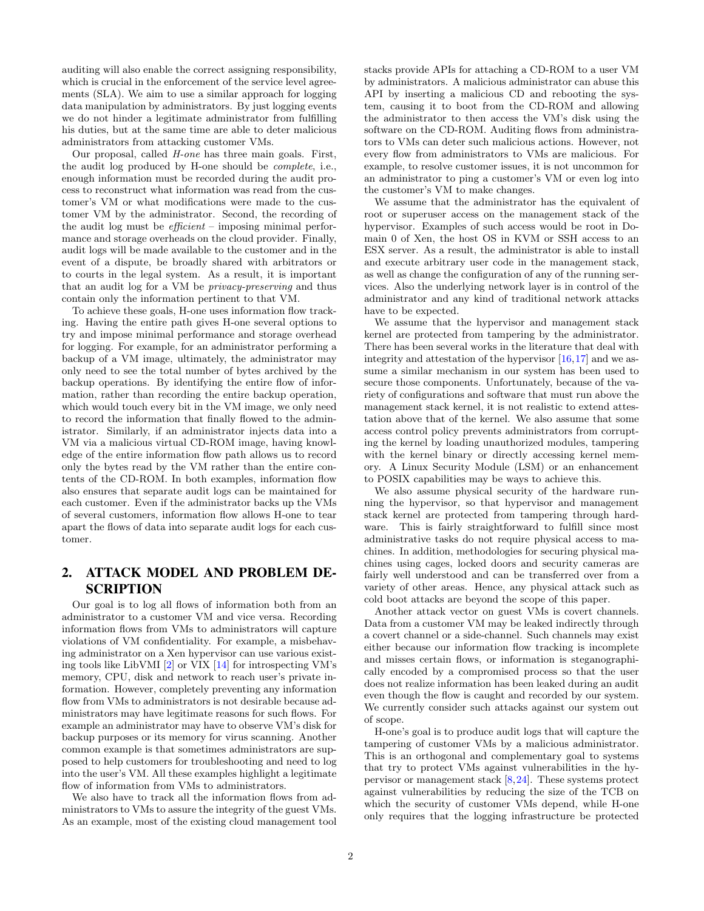auditing will also enable the correct assigning responsibility, which is crucial in the enforcement of the service level agreements (SLA). We aim to use a similar approach for logging data manipulation by administrators. By just logging events we do not hinder a legitimate administrator from fulfilling his duties, but at the same time are able to deter malicious administrators from attacking customer VMs.

Our proposal, called H-one has three main goals. First, the audit log produced by H-one should be complete, i.e., enough information must be recorded during the audit process to reconstruct what information was read from the customer's VM or what modifications were made to the customer VM by the administrator. Second, the recording of the audit log must be  $efficient$  – imposing minimal performance and storage overheads on the cloud provider. Finally, audit logs will be made available to the customer and in the event of a dispute, be broadly shared with arbitrators or to courts in the legal system. As a result, it is important that an audit log for a VM be privacy-preserving and thus contain only the information pertinent to that VM.

To achieve these goals, H-one uses information flow tracking. Having the entire path gives H-one several options to try and impose minimal performance and storage overhead for logging. For example, for an administrator performing a backup of a VM image, ultimately, the administrator may only need to see the total number of bytes archived by the backup operations. By identifying the entire flow of information, rather than recording the entire backup operation, which would touch every bit in the VM image, we only need to record the information that finally flowed to the administrator. Similarly, if an administrator injects data into a VM via a malicious virtual CD-ROM image, having knowledge of the entire information flow path allows us to record only the bytes read by the VM rather than the entire contents of the CD-ROM. In both examples, information flow also ensures that separate audit logs can be maintained for each customer. Even if the administrator backs up the VMs of several customers, information flow allows H-one to tear apart the flows of data into separate audit logs for each customer.

# 2. ATTACK MODEL AND PROBLEM DE-**SCRIPTION**

Our goal is to log all flows of information both from an administrator to a customer VM and vice versa. Recording information flows from VMs to administrators will capture violations of VM confidentiality. For example, a misbehaving administrator on a Xen hypervisor can use various existing tools like LibVMI [\[2\]](#page-5-1) or VIX [\[14\]](#page-5-6) for introspecting VM's memory, CPU, disk and network to reach user's private information. However, completely preventing any information flow from VMs to administrators is not desirable because administrators may have legitimate reasons for such flows. For example an administrator may have to observe VM's disk for backup purposes or its memory for virus scanning. Another common example is that sometimes administrators are supposed to help customers for troubleshooting and need to log into the user's VM. All these examples highlight a legitimate flow of information from VMs to administrators.

We also have to track all the information flows from administrators to VMs to assure the integrity of the guest VMs. As an example, most of the existing cloud management tool stacks provide APIs for attaching a CD-ROM to a user VM by administrators. A malicious administrator can abuse this API by inserting a malicious CD and rebooting the system, causing it to boot from the CD-ROM and allowing the administrator to then access the VM's disk using the software on the CD-ROM. Auditing flows from administrators to VMs can deter such malicious actions. However, not every flow from administrators to VMs are malicious. For example, to resolve customer issues, it is not uncommon for an administrator to ping a customer's VM or even log into the customer's VM to make changes.

We assume that the administrator has the equivalent of root or superuser access on the management stack of the hypervisor. Examples of such access would be root in Domain 0 of Xen, the host OS in KVM or SSH access to an ESX server. As a result, the administrator is able to install and execute arbitrary user code in the management stack, as well as change the configuration of any of the running services. Also the underlying network layer is in control of the administrator and any kind of traditional network attacks have to be expected.

We assume that the hypervisor and management stack kernel are protected from tampering by the administrator. There has been several works in the literature that deal with integrity and attestation of the hypervisor  $[16,17]$  $[16,17]$  and we assume a similar mechanism in our system has been used to secure those components. Unfortunately, because of the variety of configurations and software that must run above the management stack kernel, it is not realistic to extend attestation above that of the kernel. We also assume that some access control policy prevents administrators from corrupting the kernel by loading unauthorized modules, tampering with the kernel binary or directly accessing kernel memory. A Linux Security Module (LSM) or an enhancement to POSIX capabilities may be ways to achieve this.

We also assume physical security of the hardware running the hypervisor, so that hypervisor and management stack kernel are protected from tampering through hardware. This is fairly straightforward to fulfill since most administrative tasks do not require physical access to machines. In addition, methodologies for securing physical machines using cages, locked doors and security cameras are fairly well understood and can be transferred over from a variety of other areas. Hence, any physical attack such as cold boot attacks are beyond the scope of this paper.

Another attack vector on guest VMs is covert channels. Data from a customer VM may be leaked indirectly through a covert channel or a side-channel. Such channels may exist either because our information flow tracking is incomplete and misses certain flows, or information is steganographically encoded by a compromised process so that the user does not realize information has been leaked during an audit even though the flow is caught and recorded by our system. We currently consider such attacks against our system out of scope.

H-one's goal is to produce audit logs that will capture the tampering of customer VMs by a malicious administrator. This is an orthogonal and complementary goal to systems that try to protect VMs against vulnerabilities in the hypervisor or management stack [\[8,](#page-5-7)[24\]](#page-5-4). These systems protect against vulnerabilities by reducing the size of the TCB on which the security of customer VMs depend, while H-one only requires that the logging infrastructure be protected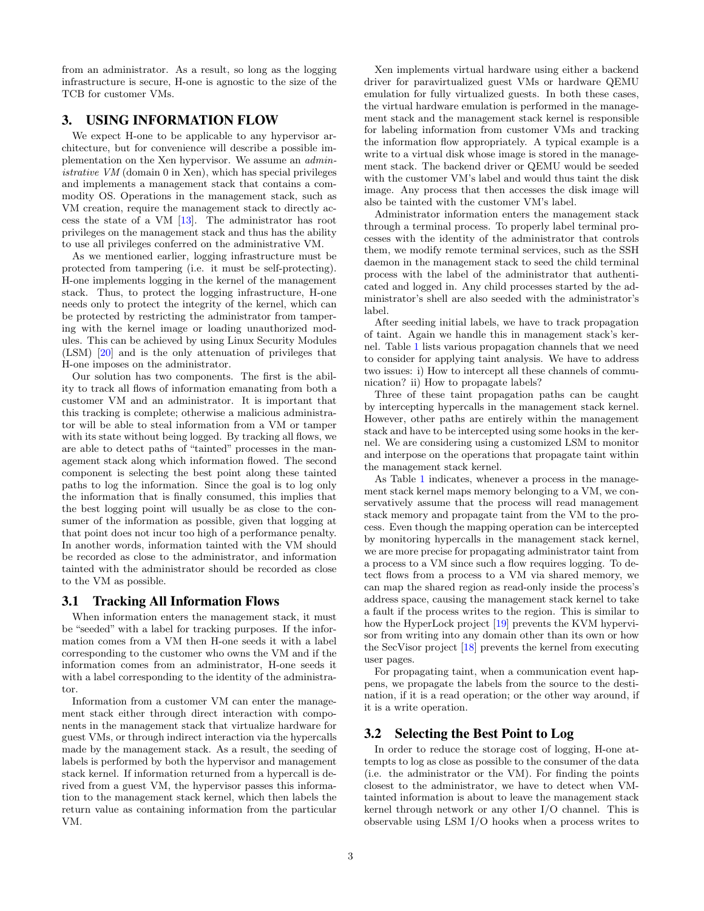from an administrator. As a result, so long as the logging infrastructure is secure, H-one is agnostic to the size of the TCB for customer VMs.

# 3. USING INFORMATION FLOW

We expect H-one to be applicable to any hypervisor architecture, but for convenience will describe a possible implementation on the Xen hypervisor. We assume an administrative VM (domain 0 in Xen), which has special privileges and implements a management stack that contains a commodity OS. Operations in the management stack, such as VM creation, require the management stack to directly access the state of a VM [\[13\]](#page-5-8). The administrator has root privileges on the management stack and thus has the ability to use all privileges conferred on the administrative VM.

As we mentioned earlier, logging infrastructure must be protected from tampering (i.e. it must be self-protecting). H-one implements logging in the kernel of the management stack. Thus, to protect the logging infrastructure, H-one needs only to protect the integrity of the kernel, which can be protected by restricting the administrator from tampering with the kernel image or loading unauthorized modules. This can be achieved by using Linux Security Modules (LSM) [\[20\]](#page-5-9) and is the only attenuation of privileges that H-one imposes on the administrator.

Our solution has two components. The first is the ability to track all flows of information emanating from both a customer VM and an administrator. It is important that this tracking is complete; otherwise a malicious administrator will be able to steal information from a VM or tamper with its state without being logged. By tracking all flows, we are able to detect paths of "tainted" processes in the management stack along which information flowed. The second component is selecting the best point along these tainted paths to log the information. Since the goal is to log only the information that is finally consumed, this implies that the best logging point will usually be as close to the consumer of the information as possible, given that logging at that point does not incur too high of a performance penalty. In another words, information tainted with the VM should be recorded as close to the administrator, and information tainted with the administrator should be recorded as close to the VM as possible.

### <span id="page-2-0"></span>3.1 Tracking All Information Flows

When information enters the management stack, it must be "seeded" with a label for tracking purposes. If the information comes from a VM then H-one seeds it with a label corresponding to the customer who owns the VM and if the information comes from an administrator, H-one seeds it with a label corresponding to the identity of the administrator.

Information from a customer VM can enter the management stack either through direct interaction with components in the management stack that virtualize hardware for guest VMs, or through indirect interaction via the hypercalls made by the management stack. As a result, the seeding of labels is performed by both the hypervisor and management stack kernel. If information returned from a hypercall is derived from a guest VM, the hypervisor passes this information to the management stack kernel, which then labels the return value as containing information from the particular VM.

Xen implements virtual hardware using either a backend driver for paravirtualized guest VMs or hardware QEMU emulation for fully virtualized guests. In both these cases, the virtual hardware emulation is performed in the management stack and the management stack kernel is responsible for labeling information from customer VMs and tracking the information flow appropriately. A typical example is a write to a virtual disk whose image is stored in the management stack. The backend driver or QEMU would be seeded with the customer VM's label and would thus taint the disk image. Any process that then accesses the disk image will also be tainted with the customer VM's label.

Administrator information enters the management stack through a terminal process. To properly label terminal processes with the identity of the administrator that controls them, we modify remote terminal services, such as the SSH daemon in the management stack to seed the child terminal process with the label of the administrator that authenticated and logged in. Any child processes started by the administrator's shell are also seeded with the administrator's label.

After seeding initial labels, we have to track propagation of taint. Again we handle this in management stack's kernel. Table [1](#page-3-0) lists various propagation channels that we need to consider for applying taint analysis. We have to address two issues: i) How to intercept all these channels of communication? ii) How to propagate labels?

Three of these taint propagation paths can be caught by intercepting hypercalls in the management stack kernel. However, other paths are entirely within the management stack and have to be intercepted using some hooks in the kernel. We are considering using a customized LSM to monitor and interpose on the operations that propagate taint within the management stack kernel.

As Table [1](#page-3-0) indicates, whenever a process in the management stack kernel maps memory belonging to a VM, we conservatively assume that the process will read management stack memory and propagate taint from the VM to the process. Even though the mapping operation can be intercepted by monitoring hypercalls in the management stack kernel, we are more precise for propagating administrator taint from a process to a VM since such a flow requires logging. To detect flows from a process to a VM via shared memory, we can map the shared region as read-only inside the process's address space, causing the management stack kernel to take a fault if the process writes to the region. This is similar to how the HyperLock project [\[19\]](#page-5-10) prevents the KVM hypervisor from writing into any domain other than its own or how the SecVisor project [\[18\]](#page-5-11) prevents the kernel from executing user pages.

For propagating taint, when a communication event happens, we propagate the labels from the source to the destination, if it is a read operation; or the other way around, if it is a write operation.

## 3.2 Selecting the Best Point to Log

In order to reduce the storage cost of logging, H-one attempts to log as close as possible to the consumer of the data (i.e. the administrator or the VM). For finding the points closest to the administrator, we have to detect when VMtainted information is about to leave the management stack kernel through network or any other I/O channel. This is observable using LSM I/O hooks when a process writes to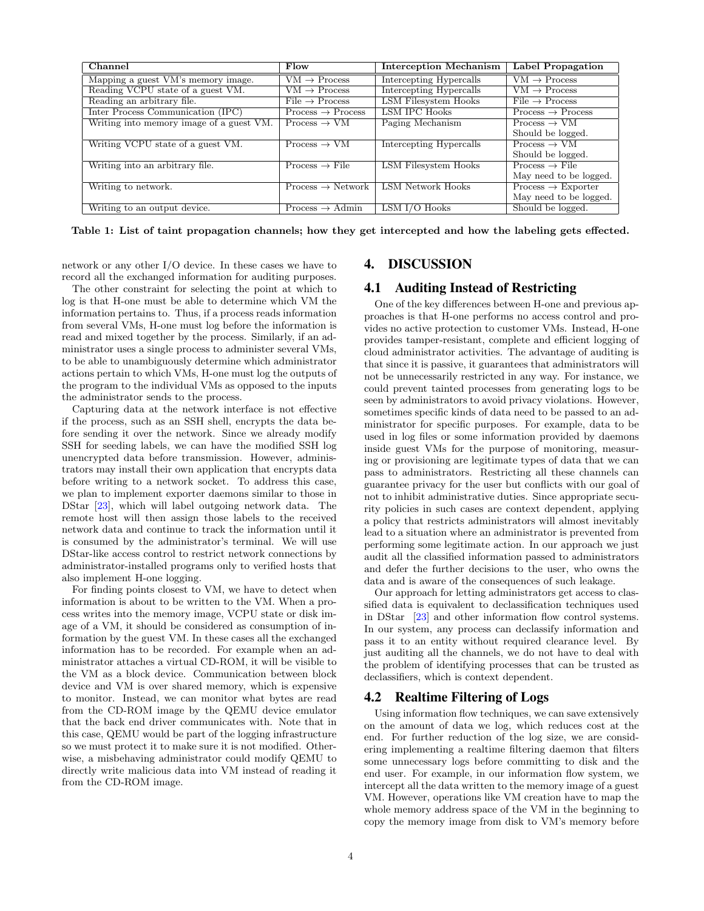| Channel                                  | Flow                                | <b>Interception Mechanism</b> | Label Propagation              |
|------------------------------------------|-------------------------------------|-------------------------------|--------------------------------|
| Mapping a guest VM's memory image.       | $\overline{VM} \rightarrow$ Process | Intercepting Hypercalls       | $VM \rightarrow Process$       |
| Reading VCPU state of a guest VM.        | $VM \rightarrow Process$            | Intercepting Hypercalls       | $VM \rightarrow Process$       |
| Reading an arbitrary file.               | $File \rightarrow Process$          | LSM Filesystem Hooks          | $File \rightarrow Process$     |
| Inter Process Communication (IPC)        | $Process \rightarrow Process$       | <b>LSM IPC Hooks</b>          | $Process \rightarrow Process$  |
| Writing into memory image of a guest VM. | Process $\rightarrow$ VM            | Paging Mechanism              | Process $\rightarrow$ VM       |
|                                          |                                     |                               | Should be logged.              |
| Writing VCPU state of a guest VM.        | Process $\rightarrow$ VM            | Intercepting Hypercalls       | $Process \rightarrow VM$       |
|                                          |                                     |                               | Should be logged.              |
| Writing into an arbitrary file.          | $Process \rightarrow File$          | LSM Filesystem Hooks          | $Process \rightarrow File$     |
|                                          |                                     |                               | May need to be logged.         |
| Writing to network.                      | $Process \rightarrow Network$       | LSM Network Hooks             | Process $\rightarrow$ Exporter |
|                                          |                                     |                               | May need to be logged.         |
| Writing to an output device.             | Process $\rightarrow$ Admin         | LSM I/O Hooks                 | Should be logged.              |

<span id="page-3-0"></span>Table 1: List of taint propagation channels; how they get intercepted and how the labeling gets effected.

network or any other I/O device. In these cases we have to record all the exchanged information for auditing purposes.

The other constraint for selecting the point at which to log is that H-one must be able to determine which VM the information pertains to. Thus, if a process reads information from several VMs, H-one must log before the information is read and mixed together by the process. Similarly, if an administrator uses a single process to administer several VMs, to be able to unambiguously determine which administrator actions pertain to which VMs, H-one must log the outputs of the program to the individual VMs as opposed to the inputs the administrator sends to the process.

Capturing data at the network interface is not effective if the process, such as an SSH shell, encrypts the data before sending it over the network. Since we already modify SSH for seeding labels, we can have the modified SSH log unencrypted data before transmission. However, administrators may install their own application that encrypts data before writing to a network socket. To address this case, we plan to implement exporter daemons similar to those in DStar [\[23\]](#page-5-12), which will label outgoing network data. The remote host will then assign those labels to the received network data and continue to track the information until it is consumed by the administrator's terminal. We will use DStar-like access control to restrict network connections by administrator-installed programs only to verified hosts that also implement H-one logging.

For finding points closest to VM, we have to detect when information is about to be written to the VM. When a process writes into the memory image, VCPU state or disk image of a VM, it should be considered as consumption of information by the guest VM. In these cases all the exchanged information has to be recorded. For example when an administrator attaches a virtual CD-ROM, it will be visible to the VM as a block device. Communication between block device and VM is over shared memory, which is expensive to monitor. Instead, we can monitor what bytes are read from the CD-ROM image by the QEMU device emulator that the back end driver communicates with. Note that in this case, QEMU would be part of the logging infrastructure so we must protect it to make sure it is not modified. Otherwise, a misbehaving administrator could modify QEMU to directly write malicious data into VM instead of reading it from the CD-ROM image.

## 4. DISCUSSION

## 4.1 Auditing Instead of Restricting

One of the key differences between H-one and previous approaches is that H-one performs no access control and provides no active protection to customer VMs. Instead, H-one provides tamper-resistant, complete and efficient logging of cloud administrator activities. The advantage of auditing is that since it is passive, it guarantees that administrators will not be unnecessarily restricted in any way. For instance, we could prevent tainted processes from generating logs to be seen by administrators to avoid privacy violations. However, sometimes specific kinds of data need to be passed to an administrator for specific purposes. For example, data to be used in log files or some information provided by daemons inside guest VMs for the purpose of monitoring, measuring or provisioning are legitimate types of data that we can pass to administrators. Restricting all these channels can guarantee privacy for the user but conflicts with our goal of not to inhibit administrative duties. Since appropriate security policies in such cases are context dependent, applying a policy that restricts administrators will almost inevitably lead to a situation where an administrator is prevented from performing some legitimate action. In our approach we just audit all the classified information passed to administrators and defer the further decisions to the user, who owns the data and is aware of the consequences of such leakage.

Our approach for letting administrators get access to classified data is equivalent to declassification techniques used in DStar [\[23\]](#page-5-12) and other information flow control systems. In our system, any process can declassify information and pass it to an entity without required clearance level. By just auditing all the channels, we do not have to deal with the problem of identifying processes that can be trusted as declassifiers, which is context dependent.

## 4.2 Realtime Filtering of Logs

Using information flow techniques, we can save extensively on the amount of data we log, which reduces cost at the end. For further reduction of the log size, we are considering implementing a realtime filtering daemon that filters some unnecessary logs before committing to disk and the end user. For example, in our information flow system, we intercept all the data written to the memory image of a guest VM. However, operations like VM creation have to map the whole memory address space of the VM in the beginning to copy the memory image from disk to VM's memory before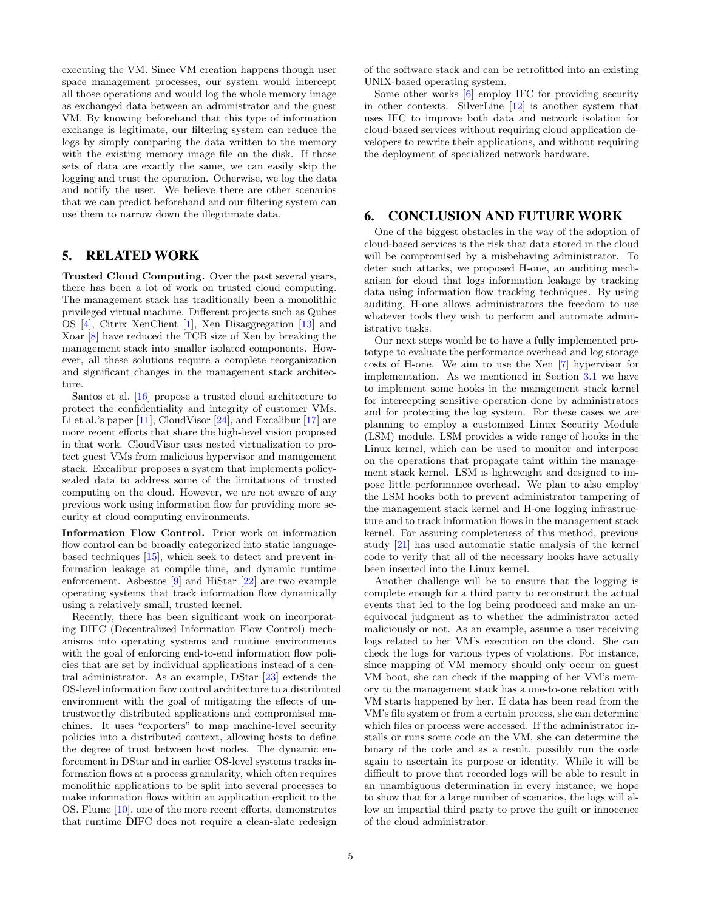executing the VM. Since VM creation happens though user space management processes, our system would intercept all those operations and would log the whole memory image as exchanged data between an administrator and the guest VM. By knowing beforehand that this type of information exchange is legitimate, our filtering system can reduce the logs by simply comparing the data written to the memory with the existing memory image file on the disk. If those sets of data are exactly the same, we can easily skip the logging and trust the operation. Otherwise, we log the data and notify the user. We believe there are other scenarios that we can predict beforehand and our filtering system can use them to narrow down the illegitimate data.

## 5. RELATED WORK

Trusted Cloud Computing. Over the past several years, there has been a lot of work on trusted cloud computing. The management stack has traditionally been a monolithic privileged virtual machine. Different projects such as Qubes OS [\[4\]](#page-5-13), Citrix XenClient [\[1\]](#page-5-14), Xen Disaggregation [\[13\]](#page-5-8) and Xoar [\[8\]](#page-5-7) have reduced the TCB size of Xen by breaking the management stack into smaller isolated components. However, all these solutions require a complete reorganization and significant changes in the management stack architecture.

Santos et al. [\[16\]](#page-5-2) propose a trusted cloud architecture to protect the confidentiality and integrity of customer VMs. Li et al.'s paper  $[11]$ , CloudVisor  $[24]$ , and Excalibur  $[17]$  are more recent efforts that share the high-level vision proposed in that work. CloudVisor uses nested virtualization to protect guest VMs from malicious hypervisor and management stack. Excalibur proposes a system that implements policysealed data to address some of the limitations of trusted computing on the cloud. However, we are not aware of any previous work using information flow for providing more security at cloud computing environments.

Information Flow Control. Prior work on information flow control can be broadly categorized into static languagebased techniques [\[15\]](#page-5-16), which seek to detect and prevent information leakage at compile time, and dynamic runtime enforcement. Asbestos [\[9\]](#page-5-17) and HiStar [\[22\]](#page-5-18) are two example operating systems that track information flow dynamically using a relatively small, trusted kernel.

Recently, there has been significant work on incorporating DIFC (Decentralized Information Flow Control) mechanisms into operating systems and runtime environments with the goal of enforcing end-to-end information flow policies that are set by individual applications instead of a central administrator. As an example, DStar [\[23\]](#page-5-12) extends the OS-level information flow control architecture to a distributed environment with the goal of mitigating the effects of untrustworthy distributed applications and compromised machines. It uses "exporters" to map machine-level security policies into a distributed context, allowing hosts to define the degree of trust between host nodes. The dynamic enforcement in DStar and in earlier OS-level systems tracks information flows at a process granularity, which often requires monolithic applications to be split into several processes to make information flows within an application explicit to the OS. Flume [\[10\]](#page-5-19), one of the more recent efforts, demonstrates that runtime DIFC does not require a clean-slate redesign

of the software stack and can be retrofitted into an existing UNIX-based operating system.

Some other works [\[6\]](#page-5-20) employ IFC for providing security in other contexts. SilverLine [\[12\]](#page-5-21) is another system that uses IFC to improve both data and network isolation for cloud-based services without requiring cloud application developers to rewrite their applications, and without requiring the deployment of specialized network hardware.

## 6. CONCLUSION AND FUTURE WORK

One of the biggest obstacles in the way of the adoption of cloud-based services is the risk that data stored in the cloud will be compromised by a misbehaving administrator. To deter such attacks, we proposed H-one, an auditing mechanism for cloud that logs information leakage by tracking data using information flow tracking techniques. By using auditing, H-one allows administrators the freedom to use whatever tools they wish to perform and automate administrative tasks.

Our next steps would be to have a fully implemented prototype to evaluate the performance overhead and log storage costs of H-one. We aim to use the Xen [\[7\]](#page-5-22) hypervisor for implementation. As we mentioned in Section [3.1](#page-2-0) we have to implement some hooks in the management stack kernel for intercepting sensitive operation done by administrators and for protecting the log system. For these cases we are planning to employ a customized Linux Security Module (LSM) module. LSM provides a wide range of hooks in the Linux kernel, which can be used to monitor and interpose on the operations that propagate taint within the management stack kernel. LSM is lightweight and designed to impose little performance overhead. We plan to also employ the LSM hooks both to prevent administrator tampering of the management stack kernel and H-one logging infrastructure and to track information flows in the management stack kernel. For assuring completeness of this method, previous study [\[21\]](#page-5-23) has used automatic static analysis of the kernel code to verify that all of the necessary hooks have actually been inserted into the Linux kernel.

Another challenge will be to ensure that the logging is complete enough for a third party to reconstruct the actual events that led to the log being produced and make an unequivocal judgment as to whether the administrator acted maliciously or not. As an example, assume a user receiving logs related to her VM's execution on the cloud. She can check the logs for various types of violations. For instance, since mapping of VM memory should only occur on guest VM boot, she can check if the mapping of her VM's memory to the management stack has a one-to-one relation with VM starts happened by her. If data has been read from the VM's file system or from a certain process, she can determine which files or process were accessed. If the administrator installs or runs some code on the VM, she can determine the binary of the code and as a result, possibly run the code again to ascertain its purpose or identity. While it will be difficult to prove that recorded logs will be able to result in an unambiguous determination in every instance, we hope to show that for a large number of scenarios, the logs will allow an impartial third party to prove the guilt or innocence of the cloud administrator.